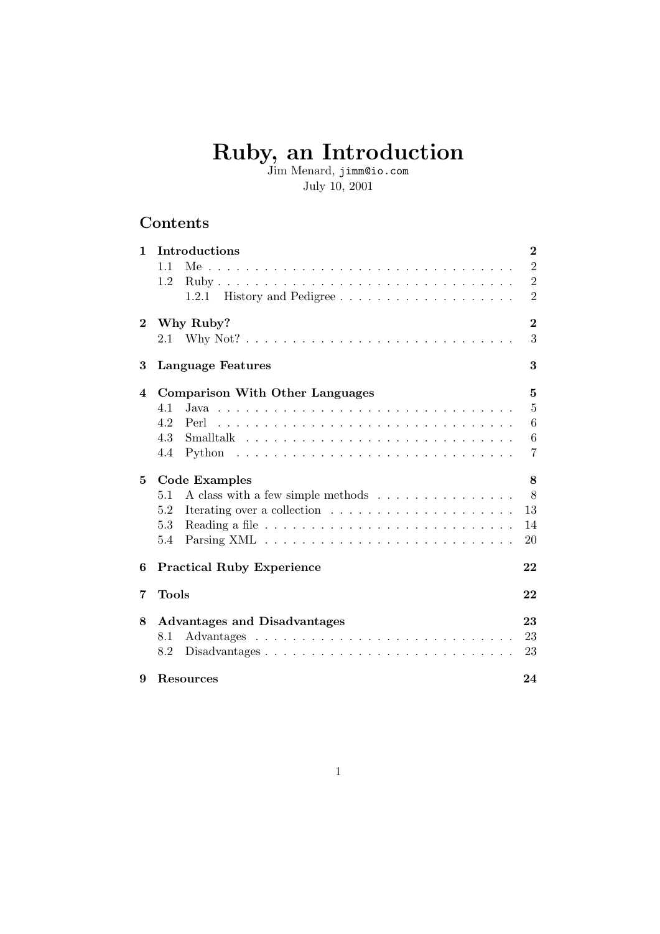# Ruby, an Introduction

Jim Menard, jimm@io.com July 10, 2001

## Contents

| $\mathbf{1}$   | Introductions                                                                         | $\bf{2}$        |
|----------------|---------------------------------------------------------------------------------------|-----------------|
|                | 1.1                                                                                   | $\overline{2}$  |
|                | 1.2                                                                                   | $\overline{2}$  |
|                | 1.2.1 History and Pedigree                                                            | $\overline{2}$  |
| $\bf{2}$       | Why Ruby?                                                                             | $\overline{2}$  |
|                |                                                                                       | 3               |
| 3              | <b>Language Features</b>                                                              | 3               |
| $\overline{4}$ | <b>Comparison With Other Languages</b>                                                | $\overline{5}$  |
|                | 4.1                                                                                   | 5               |
|                | 4.2<br>Perl                                                                           | 6               |
|                | 4.3                                                                                   | $6\phantom{.}6$ |
|                | 4.4                                                                                   | $\overline{7}$  |
| 5              | <b>Code Examples</b>                                                                  | 8               |
|                | A class with a few simple methods<br>5.1                                              | 8               |
|                | 5.2                                                                                   | 13              |
|                | 5.3                                                                                   | 14              |
|                | 5.4                                                                                   | 20              |
| 6              | <b>Practical Ruby Experience</b>                                                      | 22              |
| 7              | <b>Tools</b>                                                                          | 22              |
| 8              | Advantages and Disadvantages                                                          | 23              |
|                | 8.1                                                                                   | 23              |
|                | 8.2<br>$Disadvantages \ldots \ldots \ldots \ldots \ldots \ldots \ldots \ldots \ldots$ | 23              |
| 9              | <b>Resources</b>                                                                      | 24              |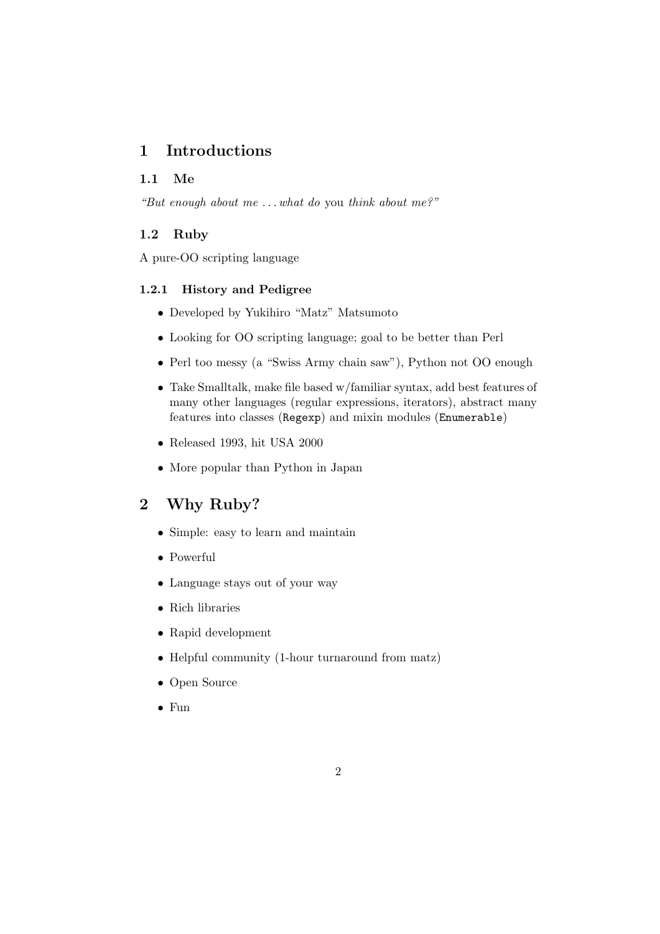## 1 Introductions

#### 1.1 Me

"But enough about me  $\dots$  what do you think about me?"

#### 1.2 Ruby

A pure-OO scripting language

#### 1.2.1 History and Pedigree

- Developed by Yukihiro "Matz" Matsumoto
- Looking for OO scripting language; goal to be better than Perl
- Perl too messy (a "Swiss Army chain saw"), Python not OO enough
- Take Smalltalk, make file based w/familiar syntax, add best features of many other languages (regular expressions, iterators), abstract many features into classes (Regexp) and mixin modules (Enumerable)
- Released 1993, hit USA 2000
- More popular than Python in Japan

## 2 Why Ruby?

- Simple: easy to learn and maintain
- Powerful
- Language stays out of your way
- Rich libraries
- Rapid development
- Helpful community (1-hour turnaround from matz)
- Open Source
- Fun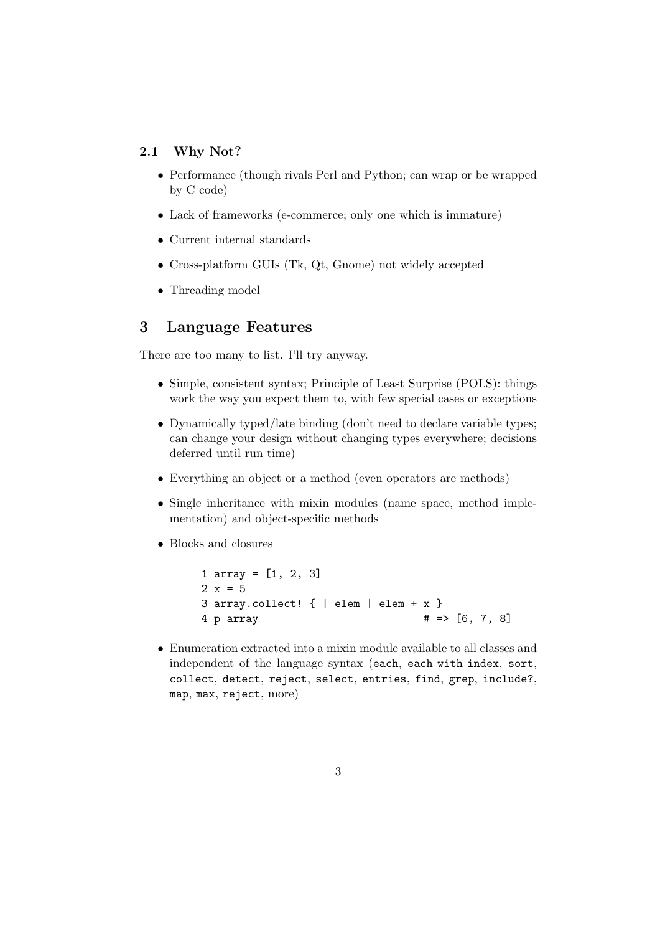#### 2.1 Why Not?

- Performance (though rivals Perl and Python; can wrap or be wrapped by C code)
- Lack of frameworks (e-commerce; only one which is immature)
- Current internal standards
- Cross-platform GUIs (Tk, Qt, Gnome) not widely accepted
- Threading model

#### 3 Language Features

There are too many to list. I'll try anyway.

- Simple, consistent syntax; Principle of Least Surprise (POLS): things work the way you expect them to, with few special cases or exceptions
- Dynamically typed/late binding (don't need to declare variable types; can change your design without changing types everywhere; decisions deferred until run time)
- Everything an object or a method (even operators are methods)
- Single inheritance with mixin modules (name space, method implementation) and object-specific methods
- Blocks and closures

```
1 array = [1, 2, 3]
2 x = 53 array.collect! { | elem | elem + x }
4 p array \# \Rightarrow [6, 7, 8]
```
• Enumeration extracted into a mixin module available to all classes and independent of the language syntax (each, each with index, sort, collect, detect, reject, select, entries, find, grep, include?, map, max, reject, more)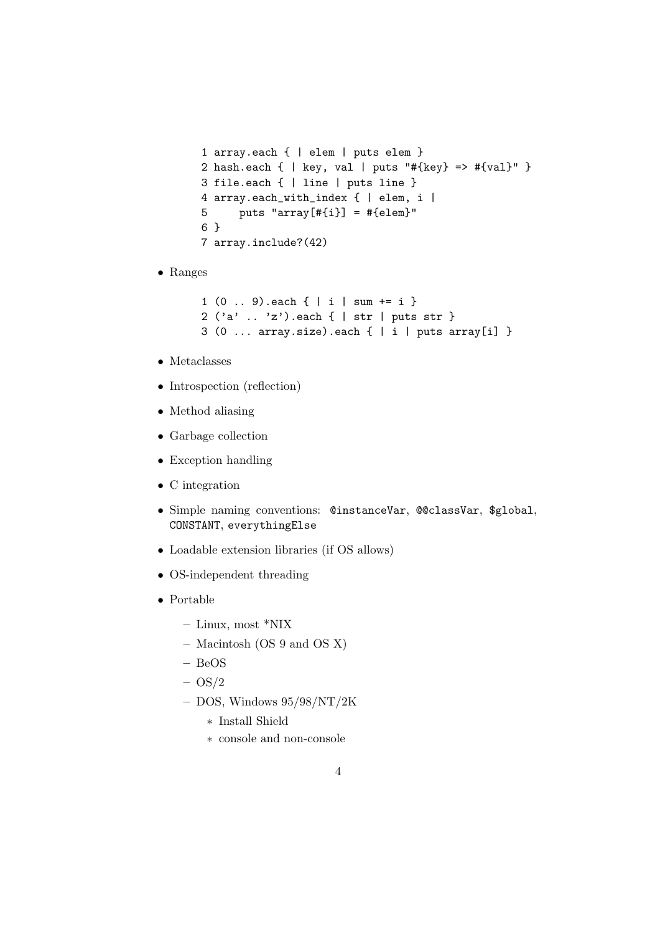```
1 array.each { | elem | puts elem }
2 hash.each { | key, val | puts "#{key} => #{val}" }
3 file.each { | line | puts line }
4 array.each_with_index { | elem, i |
5 puts "array[#{i}] = #{elem}"
6 }
7 array.include?(42)
```
• Ranges

```
1 (0 .. 9).each { | i | sum += i }
2 ('a' .. 'z').each { | str | puts str }
3 (0 ... array.size).each \{ | i | puts array[i] }
```
- Metaclasses
- Introspection (reflection)
- Method aliasing
- Garbage collection
- Exception handling
- C integration
- Simple naming conventions: @instanceVar, @@classVar, \$global, CONSTANT, everythingElse
- Loadable extension libraries (if OS allows)
- OS-independent threading
- Portable
	- Linux, most \*NIX
	- Macintosh (OS 9 and OS X)
	- BeOS
	- $-$  OS/2
	- $-$  DOS, Windows  $95/98/NT/2K$ 
		- ∗ Install Shield
		- ∗ console and non-console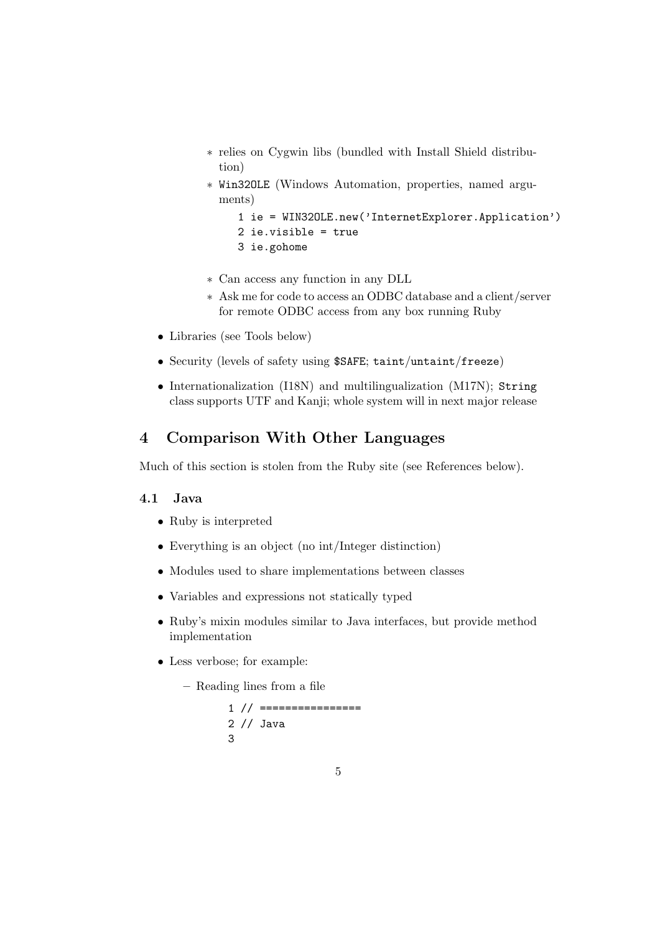- ∗ relies on Cygwin libs (bundled with Install Shield distribution)
- ∗ Win32OLE (Windows Automation, properties, named arguments)
	- 1 ie = WIN32OLE.new('InternetExplorer.Application') 2 ie.visible = true 3 ie.gohome
- ∗ Can access any function in any DLL
- ∗ Ask me for code to access an ODBC database and a client/server for remote ODBC access from any box running Ruby
- Libraries (see Tools below)
- Security (levels of safety using \$SAFE; taint/untaint/freeze)
- Internationalization (I18N) and multilingualization (M17N); String class supports UTF and Kanji; whole system will in next major release

## 4 Comparison With Other Languages

Much of this section is stolen from the Ruby site (see References below).

#### 4.1 Java

- Ruby is interpreted
- Everything is an object (no int/Integer distinction)
- Modules used to share implementations between classes
- Variables and expressions not statically typed
- Ruby's mixin modules similar to Java interfaces, but provide method implementation
- Less verbose; for example:

– Reading lines from a file

```
1 // ================
2 // Java
3
```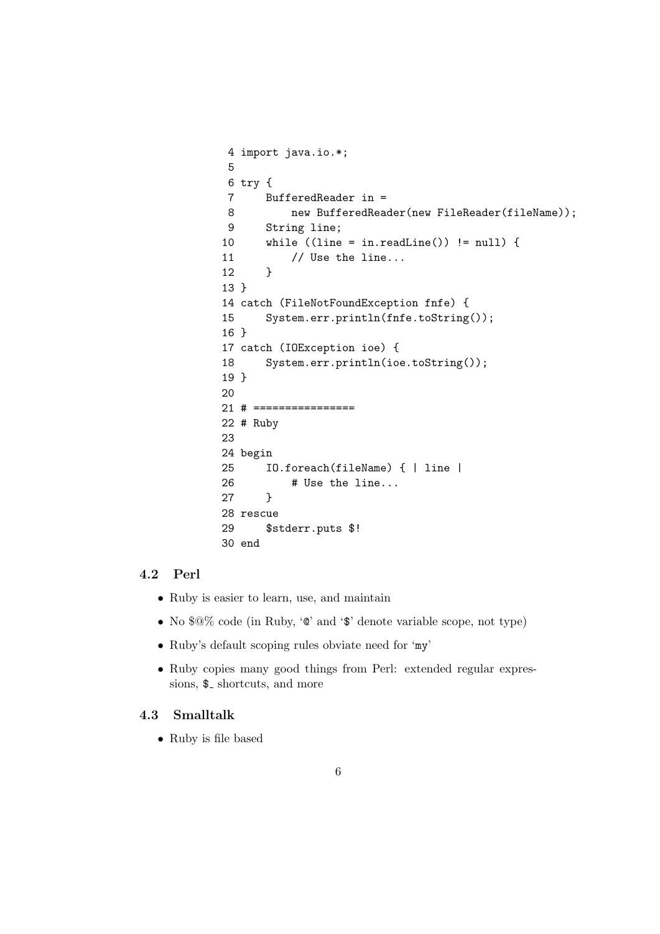```
4 import java.io.*;
5
6 try {
7 BufferedReader in =
8 new BufferedReader(new FileReader(fileName));
9 String line;
10 while ((line = in.readLine()) != null) {
11 // Use the line...
12 }
13 }
14 catch (FileNotFoundException fnfe) {
15 System.err.println(fnfe.toString());
16 }
17 catch (IOException ioe) {
18 System.err.println(ioe.toString());
19 }
20
21 # ================
22 # Ruby
23
24 begin
25 IO.foreach(fileName) { | line |
26 # Use the line...
27 }
28 rescue
29 $stderr.puts $!
30 end
```
#### 4.2 Perl

- Ruby is easier to learn, use, and maintain
- No \$@% code (in Ruby, '@' and '\$' denote variable scope, not type)
- Ruby's default scoping rules obviate need for 'my'
- Ruby copies many good things from Perl: extended regular expressions,  $\$ -shortcuts, and more

#### 4.3 Smalltalk

• Ruby is file based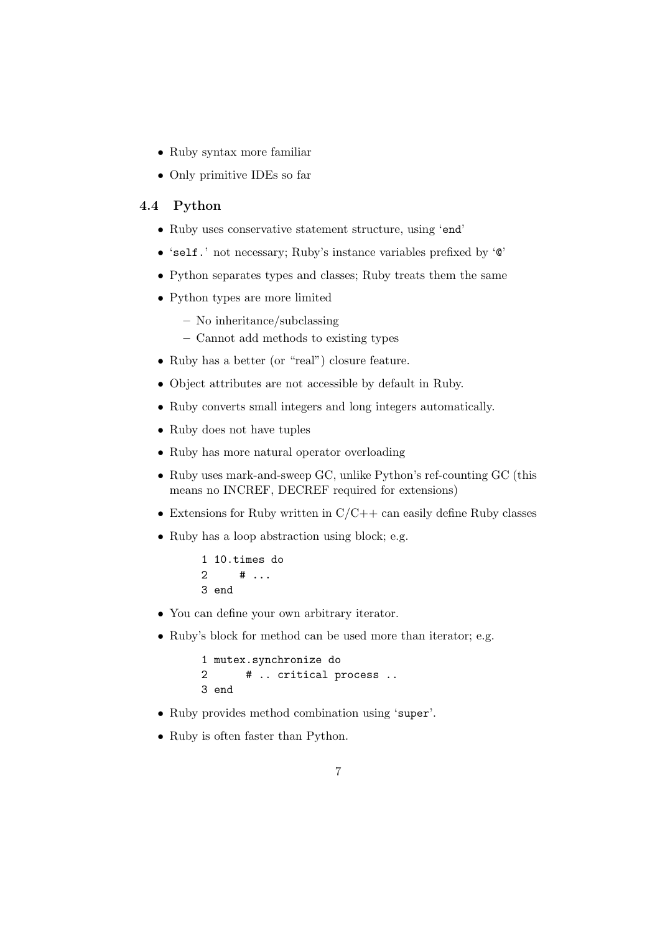- Ruby syntax more familiar
- Only primitive IDEs so far

#### 4.4 Python

- Ruby uses conservative statement structure, using 'end'
- 'self.' not necessary; Ruby's instance variables prefixed by '@'
- Python separates types and classes; Ruby treats them the same
- Python types are more limited
	- No inheritance/subclassing
	- Cannot add methods to existing types
- Ruby has a better (or "real") closure feature.
- Object attributes are not accessible by default in Ruby.
- Ruby converts small integers and long integers automatically.
- Ruby does not have tuples
- Ruby has more natural operator overloading
- Ruby uses mark-and-sweep GC, unlike Python's ref-counting GC (this means no INCREF, DECREF required for extensions)
- Extensions for Ruby written in  $C/C++$  can easily define Ruby classes
- Ruby has a loop abstraction using block; e.g.

```
1 10.times do
2 # ...
3 end
```
- You can define your own arbitrary iterator.
- Ruby's block for method can be used more than iterator; e.g.

```
1 mutex.synchronize do
2 # .. critical process ..
3 end
```
- Ruby provides method combination using 'super'.
- Ruby is often faster than Python.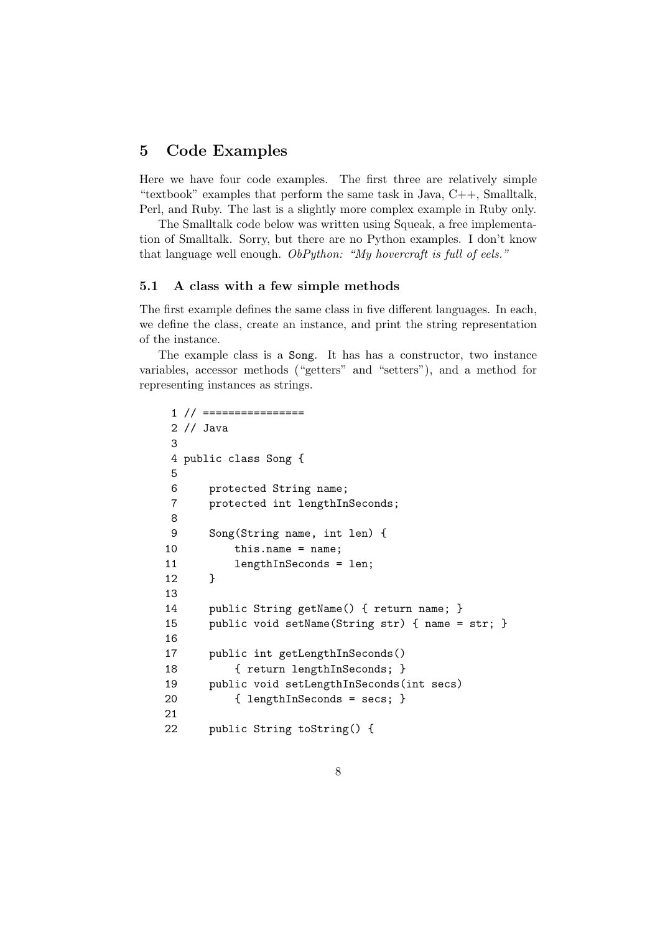### 5 Code Examples

Here we have four code examples. The first three are relatively simple "textbook" examples that perform the same task in Java, C++, Smalltalk, Perl, and Ruby. The last is a slightly more complex example in Ruby only.

The Smalltalk code below was written using Squeak, a free implementation of Smalltalk. Sorry, but there are no Python examples. I don't know that language well enough. ObPython: "My hovercraft is full of eels."

#### 5.1 A class with a few simple methods

The first example defines the same class in five different languages. In each, we define the class, create an instance, and print the string representation of the instance.

The example class is a Song. It has has a constructor, two instance variables, accessor methods ("getters" and "setters"), and a method for representing instances as strings.

```
1 // ================
2 // Java
3
4 public class Song {
5
6 protected String name;
7 protected int lengthInSeconds;
8
9 Song(String name, int len) {
10 this.name = name;
11 lengthInSeconds = len;
12 }
13
14 public String getName() { return name; }
15 public void setName(String str) { name = str; }
16
17 public int getLengthInSeconds()
18 { return lengthInSeconds; }
19 public void setLengthInSeconds(int secs)
20 { lengthInSeconds = secs; }
21
22 public String toString() {
```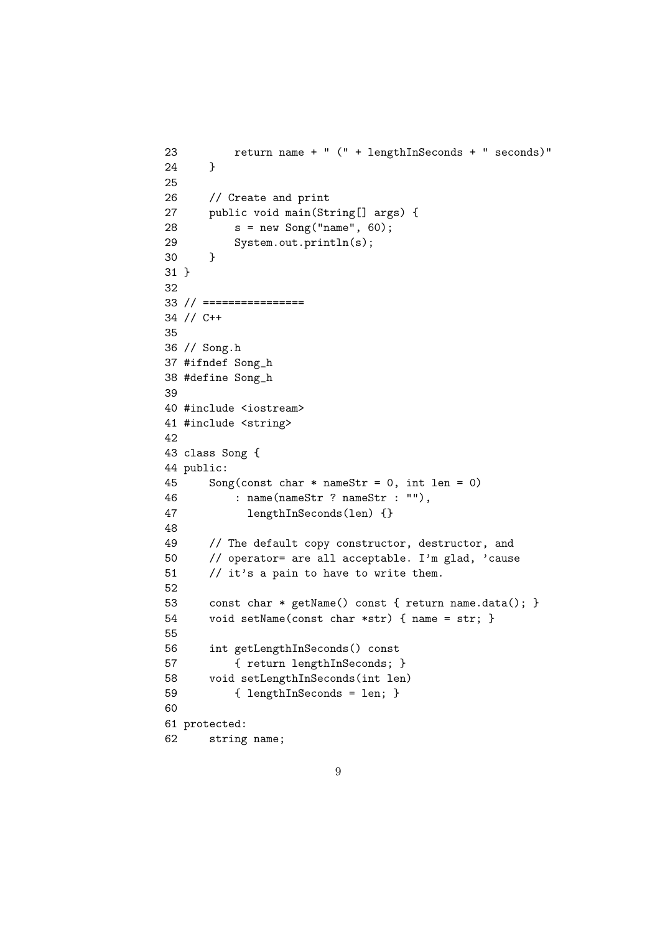```
23 return name + " (" + lengthInSeconds + " seconds)"
24 }
25
26 // Create and print
27 public void main(String[] args) {
28 s = new Song("name", 60);
29 System.out.println(s);
30 }
31 }
32
33 // ================
34 // C++
35
36 // Song.h
37 #ifndef Song_h
38 #define Song_h
39
40 #include <iostream>
41 #include <string>
42
43 class Song {
44 public:
45 Song(const char * nameStr = 0, int len = 0)
46 : name(nameStr ? nameStr : ""),
47 lengthInSeconds(len) {}
48
49 // The default copy constructor, destructor, and
50 // operator= are all acceptable. I'm glad, 'cause
51 // it's a pain to have to write them.
52
53 const char * getName() const { return name.data(); }
54 void setName(const char *str) { name = str; }
55
56 int getLengthInSeconds() const
57 { return lengthInSeconds; }
58 void setLengthInSeconds(int len)
59 { lengthInSeconds = len; }
60
61 protected:
62 string name;
```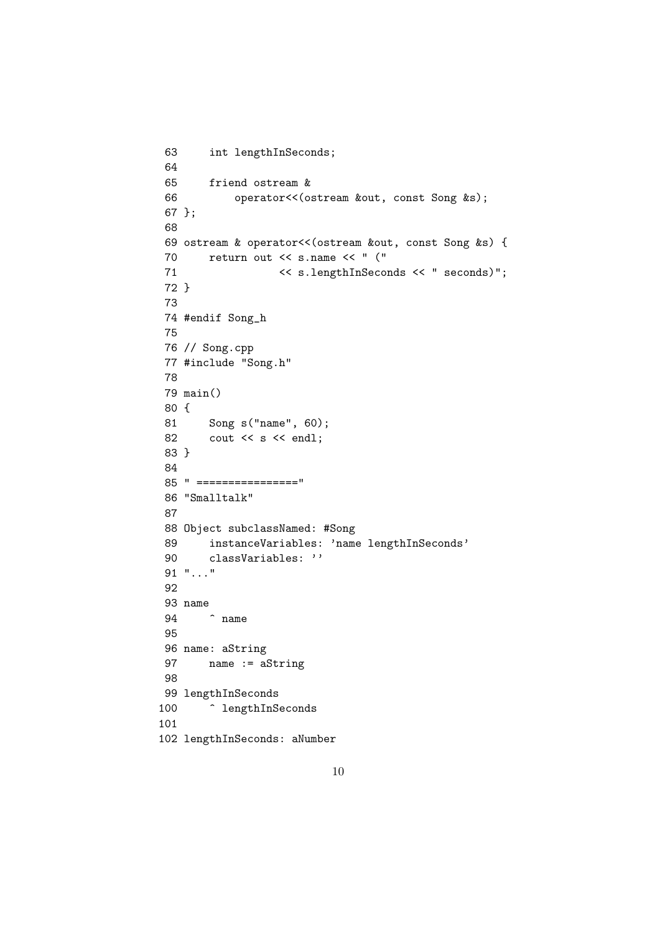```
63 int lengthInSeconds;
64
65 friend ostream &
66 operator<<(ostream &out, const Song &s);
67 };
68
69 ostream & operator<<(ostream &out, const Song &s) {
70 return out << s.name << " ("
71 << s.lengthInSeconds << " seconds)";
72 }
73
74 #endif Song_h
75
76 // Song.cpp
77 #include "Song.h"
78
79 main()
80 {
81 Song s("name", 60);
82 cout << s << endl;
83 }
84
85 " ================"
86 "Smalltalk"
87
88 Object subclassNamed: #Song
89 instanceVariables: 'name lengthInSeconds'
90 classVariables: ''
91 "..."
92
93 name
94 ^ name
95
96 name: aString
97 name := aString
98
99 lengthInSeconds
100 <sup>^</sup> lengthInSeconds
101
102 lengthInSeconds: aNumber
```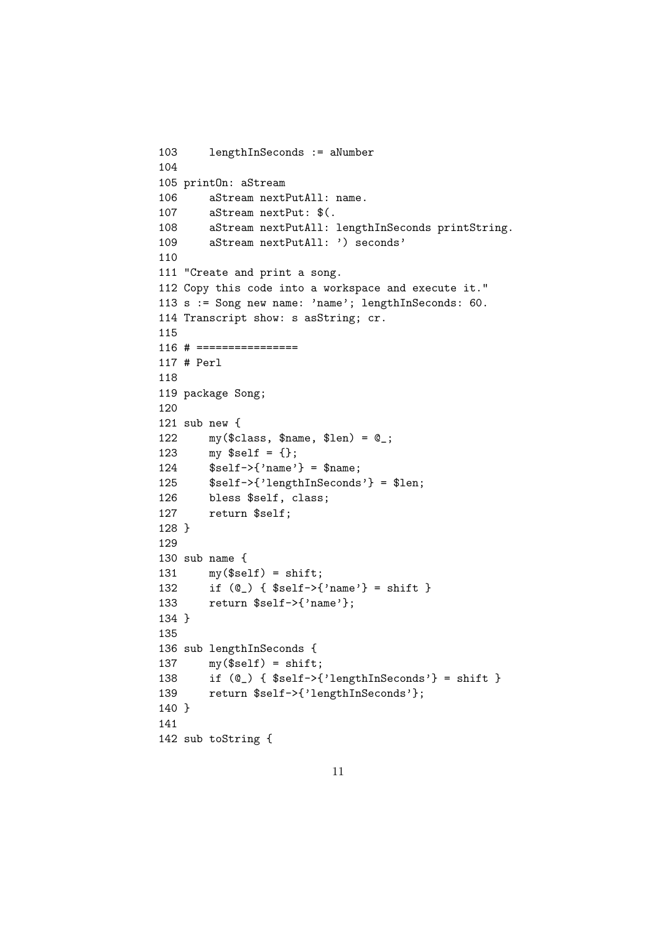```
103 lengthInSeconds := aNumber
104
105 printOn: aStream
106 aStream nextPutAll: name.
107 aStream nextPut: $(.
108 aStream nextPutAll: lengthInSeconds printString.
109 aStream nextPutAll: ') seconds'
110
111 "Create and print a song.
112 Copy this code into a workspace and execute it."
113 s := Song new name: 'name'; lengthInSeconds: 60.
114 Transcript show: s asString; cr.
115
116 # ================
117 # Perl
118
119 package Song;
120
121 sub new {
122 my(\text{class}, \text{~$name}, \text{~$len}) = \text{C}_;
123 my $self = {};
124 $self->{'name'} = $name;125 $self->{'lengthInSeconds'} = $len;
126 bless $self, class;
127 return $self;
128 }
129
130 sub name {
131 my($self) = shift;
132 if (@_) { $self->{'name'} = shift }
133 return $self->{'name'};
134 }
135
136 sub lengthInSeconds {
137 my($self) = shift;
138 if (@_) { $self->{'lengthInSeconds'} = shift }
139 return $self->{'lengthInSeconds'};
140 }
141
142 sub toString {
```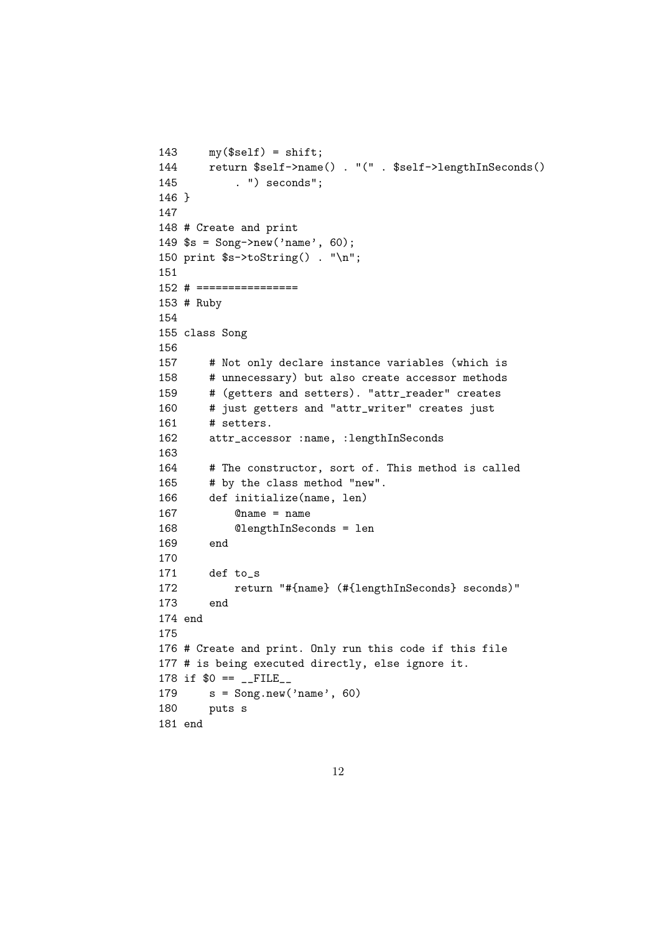```
143 my($self) = shift;
144 return $self->name() . "(" . $self->lengthInSeconds()
145 . ") seconds";
146 }
147
148 # Create and print
149 $s = Song->new('name', 60);
150 print $s->toString() . "\n";
151
152 # ================
153 # Ruby
154
155 class Song
156
157 # Not only declare instance variables (which is
158 # unnecessary) but also create accessor methods
159 # (getters and setters). "attr_reader" creates
160 # just getters and "attr_writer" creates just
161 # setters.
162 attr_accessor :name, :lengthInSeconds
163
164 # The constructor, sort of. This method is called
165 # by the class method "new".
166 def initialize(name, len)
167 @name = name
168 @lengthInSeconds = len
169 end
170
171 def to_s
172 return "#{name} (#{lengthInSeconds} seconds)"
173 end
174 end
175
176 # Create and print. Only run this code if this file
177 # is being executed directly, else ignore it.
178 if $0 = _ -FILE_
179 s = Song.new('name', 60)180 puts s
181 end
```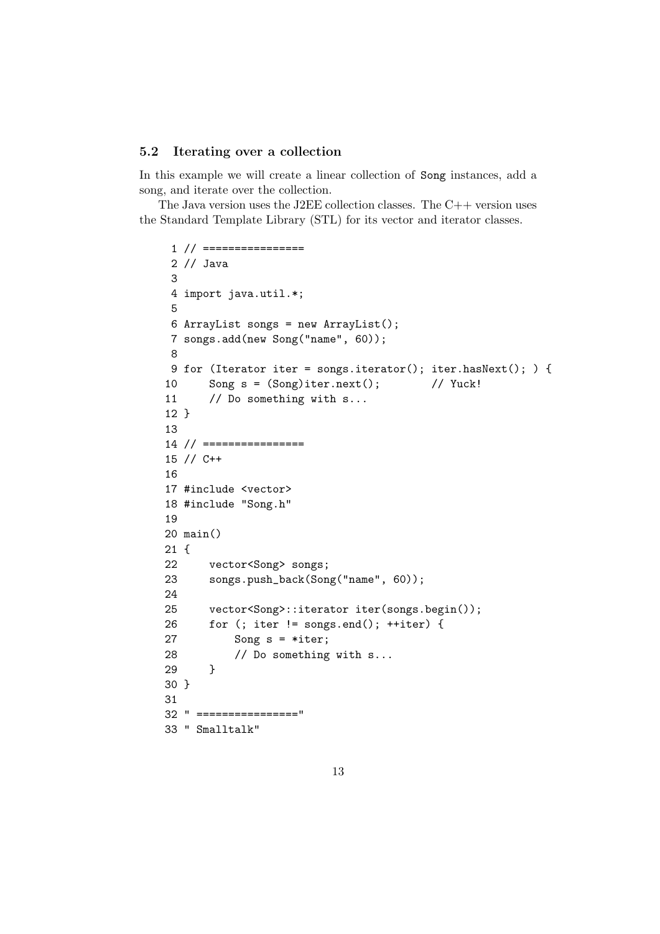#### 5.2 Iterating over a collection

In this example we will create a linear collection of Song instances, add a song, and iterate over the collection.

The Java version uses the J2EE collection classes. The  $C++$  version uses the Standard Template Library (STL) for its vector and iterator classes.

```
1 // ================
2 // Java
3
4 import java.util.*;
5
6 ArrayList songs = new ArrayList();
7 songs.add(new Song("name", 60));
8
9 for (Iterator iter = songs.iterator(); iter.hasNext(); ) {
10 Song s = (Song)iter.next(); // Yuck!
11 // Do something with s...
12 }
13
14 // ================
15 // C++
16
17 #include <vector>
18 #include "Song.h"
19
20 main()
21 {
22 vector<Song> songs;
23 songs.push_back(Song("name", 60));
24
25 vector<Song>::iterator iter(songs.begin());
26 for (; iter != songs.end(); ++iter) {
27 Song s = *iter;
28 // Do something with s...
29 }
30 }
31
32 " ================"
33 " Smalltalk"
```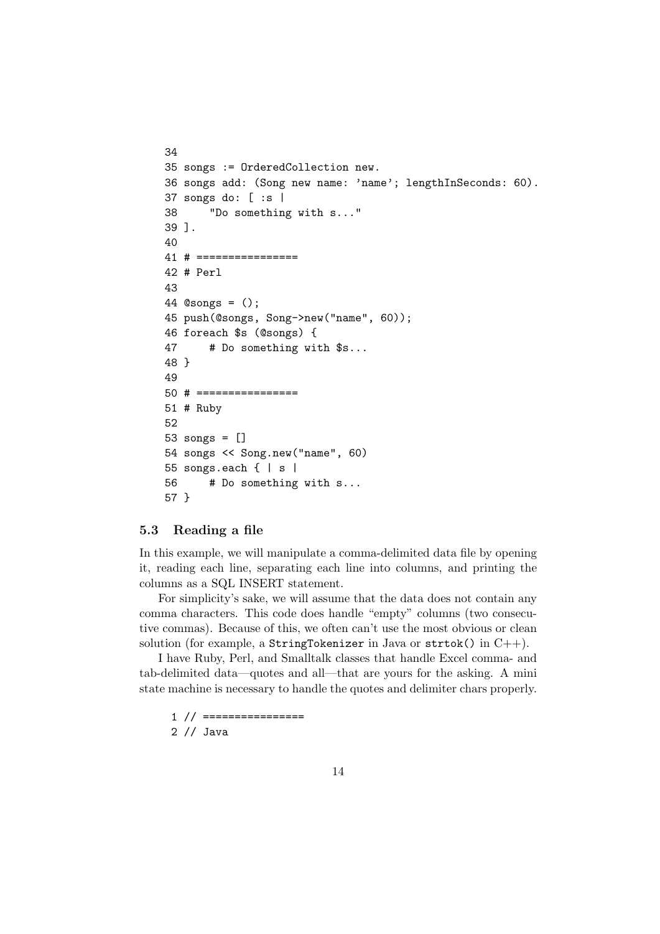```
34
35 songs := OrderedCollection new.
36 songs add: (Song new name: 'name'; lengthInSeconds: 60).
37 songs do: [ :s |
38 "Do something with s..."
39 ].
40
41 # ================
42 # Perl
43
44 @songs = ();
45 push(@songs, Song->new("name", 60));
46 foreach $s (@songs) {
47 # Do something with $s...
48 }
49
50 # ================
51 # Ruby
52
53 songs = []
54 songs << Song.new("name", 60)
55 songs.each { | s |
56 # Do something with s...
57 }
```
#### 5.3 Reading a file

In this example, we will manipulate a comma-delimited data file by opening it, reading each line, separating each line into columns, and printing the columns as a SQL INSERT statement.

For simplicity's sake, we will assume that the data does not contain any comma characters. This code does handle "empty" columns (two consecutive commas). Because of this, we often can't use the most obvious or clean solution (for example, a StringTokenizer in Java or strtok() in  $C++$ ).

I have Ruby, Perl, and Smalltalk classes that handle Excel comma- and tab-delimited data—quotes and all—that are yours for the asking. A mini state machine is necessary to handle the quotes and delimiter chars properly.

 $1$  //  $====$ 

2 // Java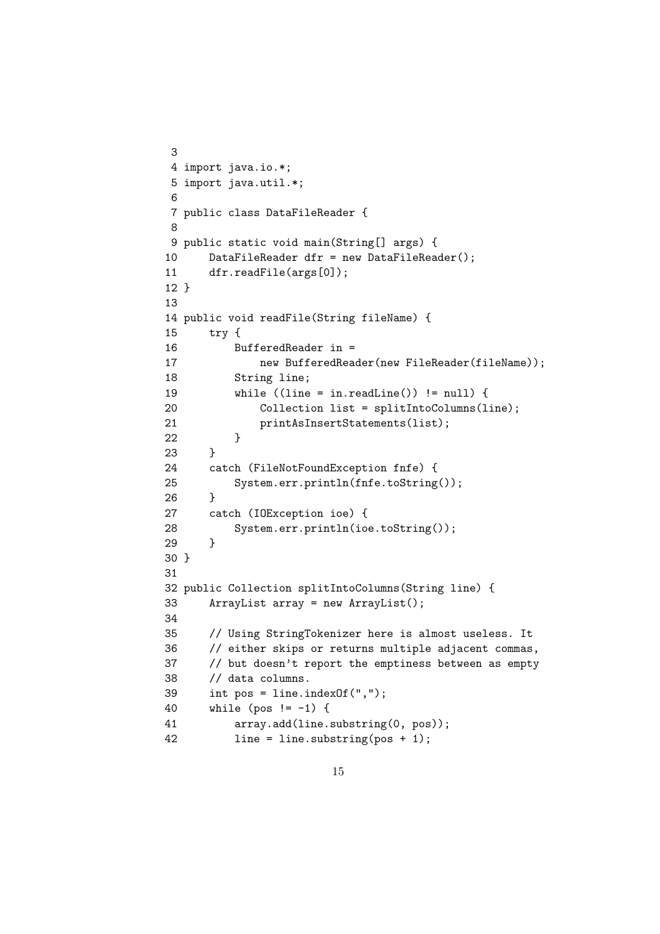```
3
4 import java.io.*;
5 import java.util.*;
6
7 public class DataFileReader {
8
9 public static void main(String[] args) {
10 DataFileReader dfr = new DataFileReader();
11 dfr.readFile(args[0]);
12 }
13
14 public void readFile(String fileName) {
15 try {
16 BufferedReader in =
17 new BufferedReader(new FileReader(fileName));
18 String line;
19 while ((line = in.readLine()) != null) {20 Collection list = splitIntoColumns(line);
21 printAsInsertStatements(list);
22 }
23 }
24 catch (FileNotFoundException fnfe) {
25 System.err.println(fnfe.toString());
26 }
27 catch (IOException ioe) {
28 System.err.println(ioe.toString());
29 }
30 }
31
32 public Collection splitIntoColumns(String line) {
33 ArrayList array = new ArrayList();
34
35 // Using StringTokenizer here is almost useless. It
36 // either skips or returns multiple adjacent commas,
37 // but doesn't report the emptiness between as empty
38 // data columns.
39 int pos = line.indexOf(",";
40 while (pos != -1) {
41 array.add(line.substring(0, pos));
42 line = line.substring(pos + 1);
```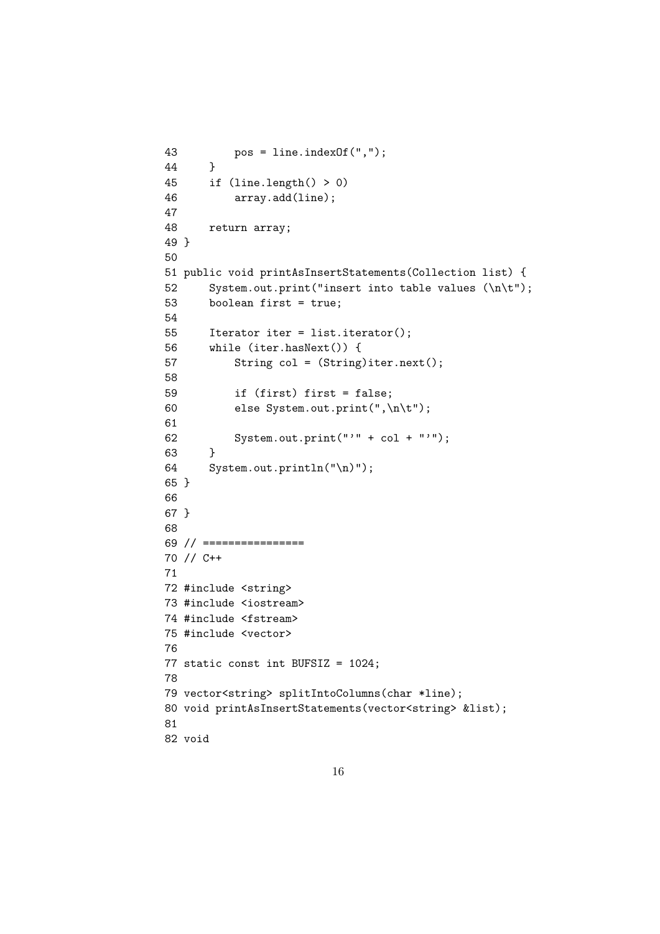```
43 pos = line.indexOf(",");
44 }
45 if (line.length() > 0)
46 array.add(line);
47
48 return array;
49 }
50
51 public void printAsInsertStatements(Collection list) {
52 System.out.print("insert into table values (\n\t");
53 boolean first = true;
54
55 Iterator iter = list.iterator();
56 while (iter.hasNext()) {
57 String col = (String)iter.next();
58
59 if (first) first = false;
60 else System.out.print(",\n\t");
61
62 System.out.print(" " + col + " "");63 }
64 System.out.println("\n)");
65 }
66
67 }
68
69 // ================
70 // C++
71
72 #include <string>
73 #include <iostream>
74 #include <fstream>
75 #include <vector>
76
77 static const int BUFSIZ = 1024;
78
79 vector<string> splitIntoColumns(char *line);
80 void printAsInsertStatements(vector<string> &list);
81
82 void
```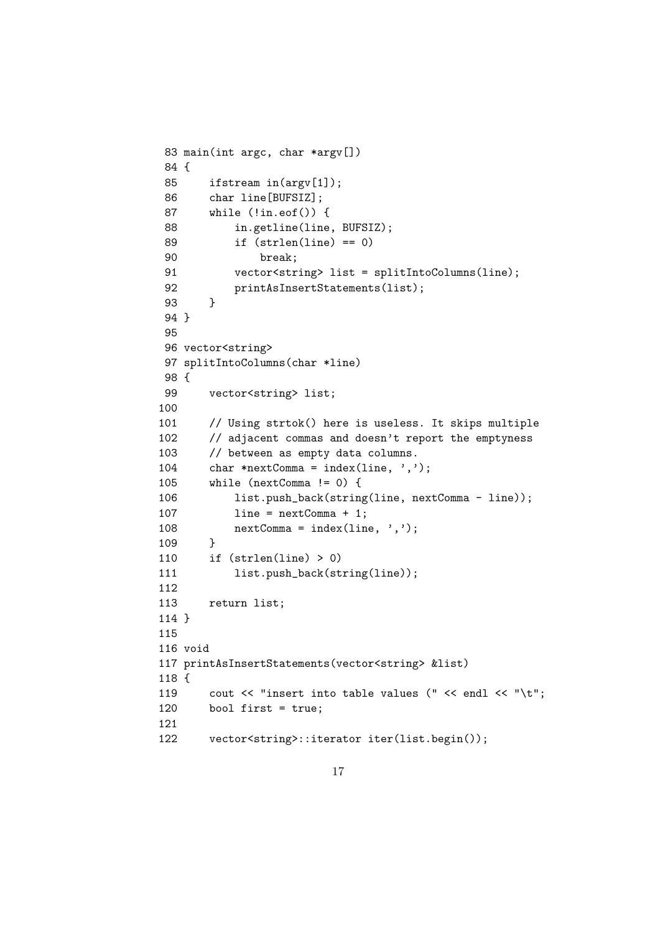```
83 main(int argc, char *argv[])
84 {
85 ifstream in(argv[1]);
86 char line[BUFSIZ];
87 while (!in.eof()) {
88 in.getline(line, BUFSIZ);
89 if (strlen(line) == 0)
90 break;
91 vector<string> list = splitIntoColumns(line);
92 printAsInsertStatements(list);
93 }
94 }
95
96 vector<string>
97 splitIntoColumns(char *line)
98 {
99 vector<string> list;
100
101 // Using strtok() here is useless. It skips multiple
102 // adjacent commas and doesn't report the emptyness
103 // between as empty data columns.
104 char *nextComma = index(line, ',');
105 while (nextComma != 0) {
106 list.push_back(string(line, nextComma - line));
107 line = nextComma + 1;
108 nextComma = index(line, ',');
109 }
110 if (strlen(line) > 0)
111 list.push_back(string(line));
112
113 return list;
114 }
115
116 void
117 printAsInsertStatements(vector<string> &list)
118 {
119 cout << "insert into table values (" << endl << "\t";
120 bool first = true;
121
122 vector<string>::iterator iter(list.begin());
```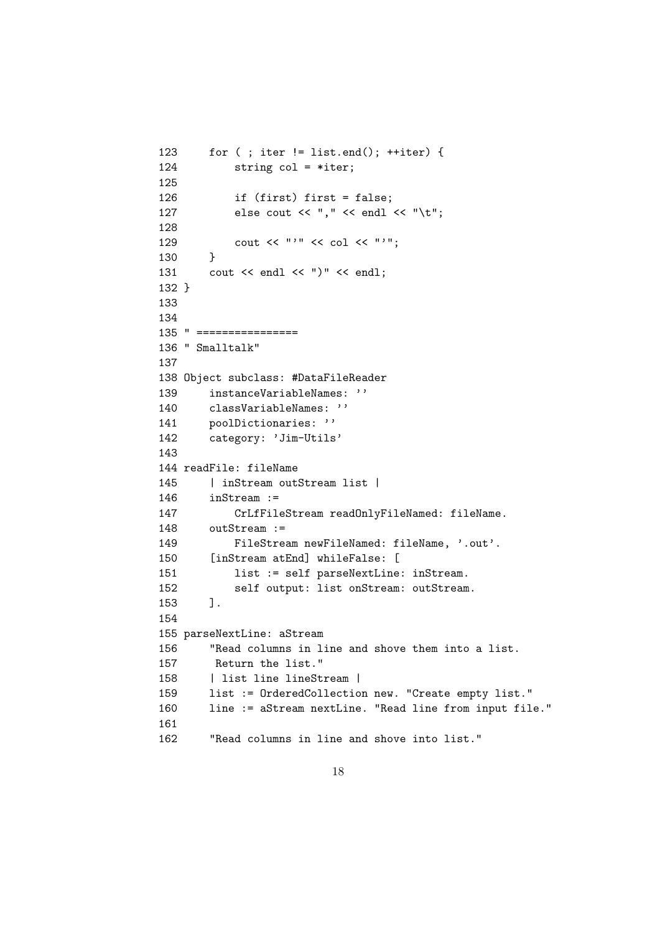```
123 for ( ; iter != list.end(); ++iter) {
124 string col = *iter;
125
126 if (first) first = false;
127 else cout << "," << endl << "\t";
128
129 cout << "'" << col << "'";
130 }
131 cout \lt\lt endl \lt\lt\lt\lt\lt\ldots132 }
133
134
135 " ================
136 " Smalltalk"
137
138 Object subclass: #DataFileReader
139 instanceVariableNames: ''
140 classVariableNames: ''
141 poolDictionaries: ''
142 category: 'Jim-Utils'
143
144 readFile: fileName
145 | inStream outStream list |
146 inStream :=
147 CrLfFileStream readOnlyFileNamed: fileName.
148 outStream :=
149 FileStream newFileNamed: fileName, '.out'.
150 [inStream atEnd] whileFalse: [
151 list := self parseNextLine: inStream.
152 self output: list onStream: outStream.
153 ].
154
155 parseNextLine: aStream
156 "Read columns in line and shove them into a list.
157 Return the list."
158 | list line lineStream |
159 list := OrderedCollection new. "Create empty list."
160 line := aStream nextLine. "Read line from input file."
161
162 "Read columns in line and shove into list."
```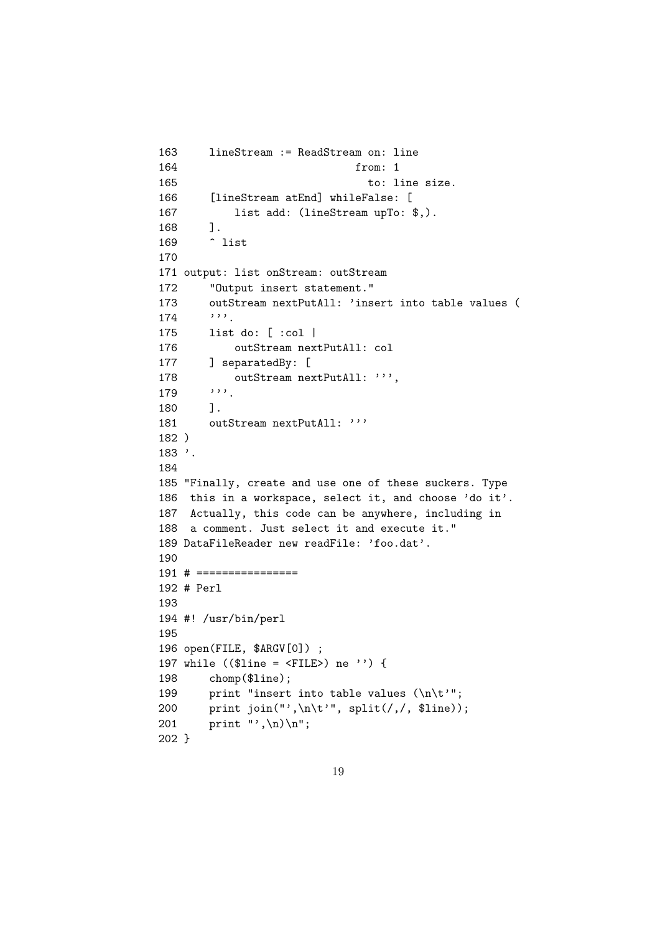```
163 lineStream := ReadStream on: line
164 from: 1
165 to: line size.
166 [lineStream atEnd] whileFalse: [
167 list add: (lineStream upTo: $,).
168 ].
169 ^ list
170
171 output: list onStream: outStream
172 "Output insert statement."
173 outStream nextPutAll: 'insert into table values (
174 '''.
175 list do: [ :col |
176 outStream nextPutAll: col
177 ] separatedBy: [
178 outStream nextPutAll: ''',
179 179.
180 1.
181 outStream nextPutAll: '''
182 )
183 '.
184
185 "Finally, create and use one of these suckers. Type
186 this in a workspace, select it, and choose 'do it'.
187 Actually, this code can be anywhere, including in
188 a comment. Just select it and execute it."
189 DataFileReader new readFile: 'foo.dat'.
190
191 # ================
192 # Perl
193
194 #! /usr/bin/perl
195
196 open(FILE, $ARGV[0]) ;
197 while (($line = <FILE>) ne '') {
198 chomp($line);
199 print "insert into table values (\n\t\hat{'} ;
200 print join("',\n\t'", split(/,/, $line));
201 print "', \n) \n";
202 }
```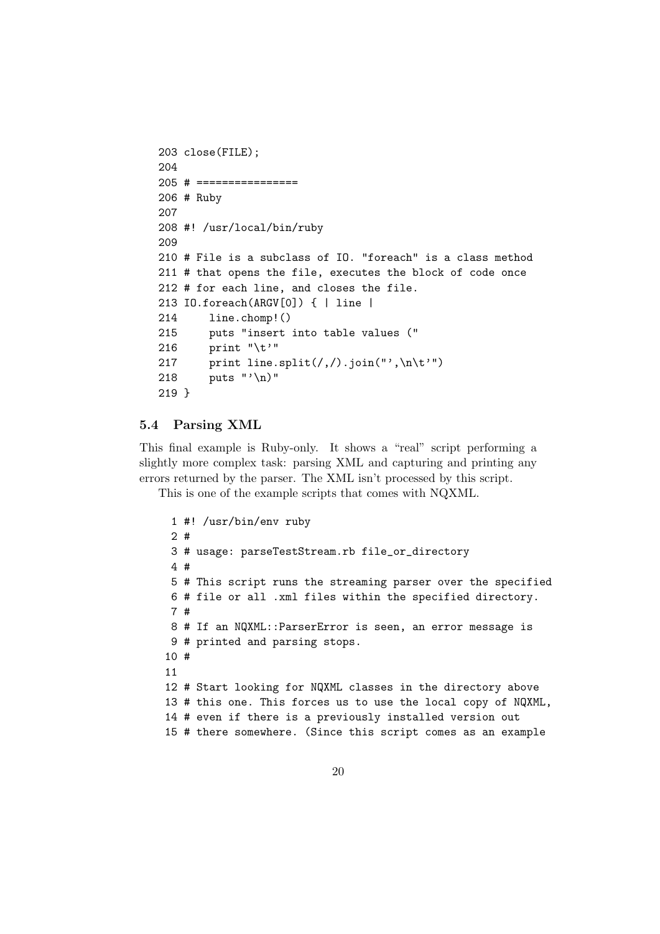```
203 close(FILE);
204
205 # ================
206 # Ruby
207
208 #! /usr/local/bin/ruby
209
210 # File is a subclass of IO. "foreach" is a class method
211 # that opens the file, executes the block of code once
212 # for each line, and closes the file.
213 IO.foreach(ARGV[0]) { | line |
214 line.chomp!()
215 puts "insert into table values ("
216 print "\t'"
217 print line.split(/,/).join("',\n\t'")
218 puts "'\n)"
219 }
```
#### 5.4 Parsing XML

This final example is Ruby-only. It shows a "real" script performing a slightly more complex task: parsing XML and capturing and printing any errors returned by the parser. The XML isn't processed by this script.

This is one of the example scripts that comes with NQXML.

```
1 #! /usr/bin/env ruby
2 #
3 # usage: parseTestStream.rb file_or_directory
4 #
5 # This script runs the streaming parser over the specified
6 # file or all .xml files within the specified directory.
7 #
8 # If an NQXML::ParserError is seen, an error message is
9 # printed and parsing stops.
10 #
11
12 # Start looking for NQXML classes in the directory above
13 # this one. This forces us to use the local copy of NQXML,
14 # even if there is a previously installed version out
15 # there somewhere. (Since this script comes as an example
```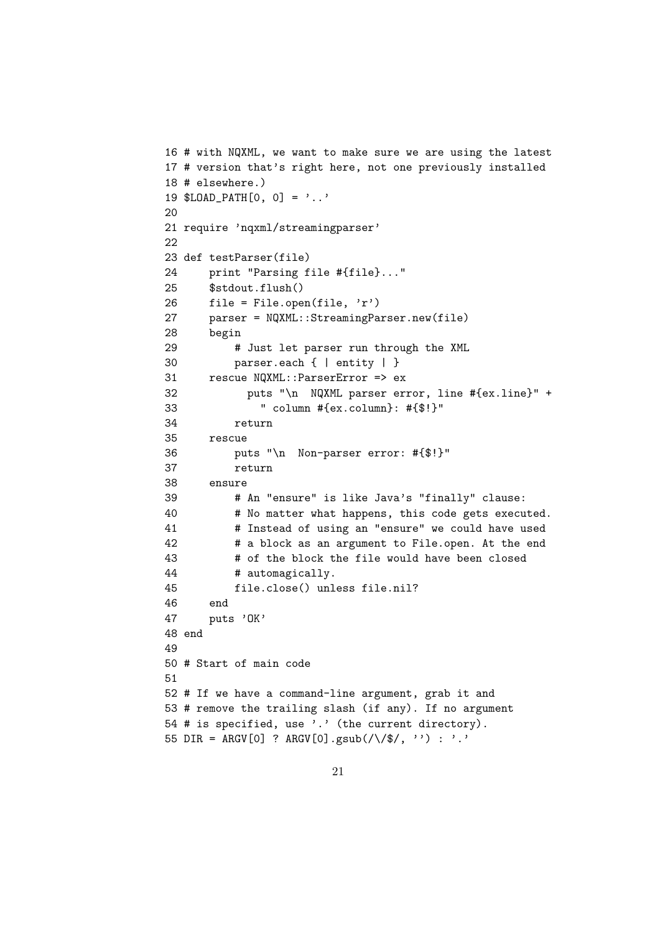```
16 # with NQXML, we want to make sure we are using the latest
17 # version that's right here, not one previously installed
18 # elsewhere.)
19 $LOAD_PATH[0, 0] = '..'
20
21 require 'nqxml/streamingparser'
22
23 def testParser(file)
24 print "Parsing file #{file}..."
25 $stdout.flush()
26 file = File.open(file, 'r')
27 parser = NQXML::StreamingParser.new(file)
28 begin
29 # Just let parser run through the XML
30 parser.each { | entity | }
31 rescue NQXML::ParserError => ex
32 puts "\n NQXML parser error, line #{ex.line}" +
33 " column #{ex.column}: #{$!}"
34 return
35 rescue
36 puts "\n Non-parser error: #{$!}"
37 return
38 ensure
39 # An "ensure" is like Java's "finally" clause:
40 # No matter what happens, this code gets executed.
41 # Instead of using an "ensure" we could have used
42 # a block as an argument to File.open. At the end
43 # of the block the file would have been closed
44 # automagically.
45 file.close() unless file.nil?
46 end
47 puts 'OK'
48 end
49
50 # Start of main code
51
52 # If we have a command-line argument, grab it and
53 # remove the trailing slash (if any). If no argument
54 # is specified, use '.' (the current directory).
55 DIR = ARGV[0] ? ARGV[0].gsub(\sqrt{\sqrt{\}}/\sqrt{\}, '') : '.'
```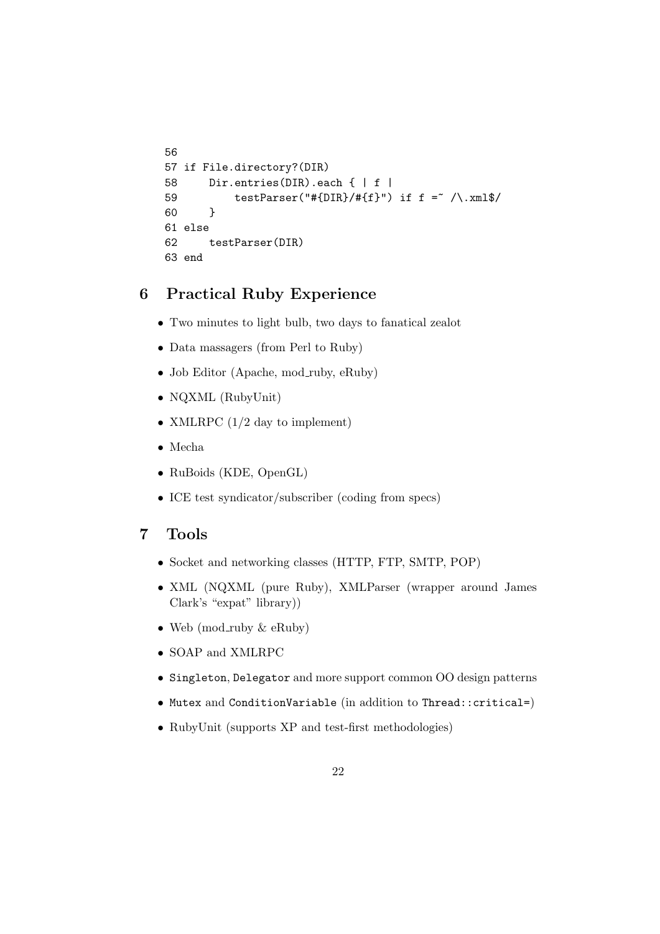```
56
57 if File.directory?(DIR)
58 Dir.entries(DIR).each { | f |
59 testParser("#{DIR}/#{f}") if f = \sqrt{\frac{mm}{\sqrt{}}60 }
61 else
62 testParser(DIR)
63 end
```
## 6 Practical Ruby Experience

- Two minutes to light bulb, two days to fanatical zealot
- Data massagers (from Perl to Ruby)
- Job Editor (Apache, mod\_ruby, eRuby)
- NQXML (RubyUnit)
- XMLRPC  $(1/2 \text{ day to implement})$
- Mecha
- RuBoids (KDE, OpenGL)
- ICE test syndicator/subscriber (coding from specs)

## 7 Tools

- Socket and networking classes (HTTP, FTP, SMTP, POP)
- XML (NQXML (pure Ruby), XMLParser (wrapper around James Clark's "expat" library))
- Web (mod\_ruby  $\&$  eRuby)
- SOAP and XMLRPC
- Singleton, Delegator and more support common OO design patterns
- Mutex and ConditionVariable (in addition to Thread::critical=)
- RubyUnit (supports XP and test-first methodologies)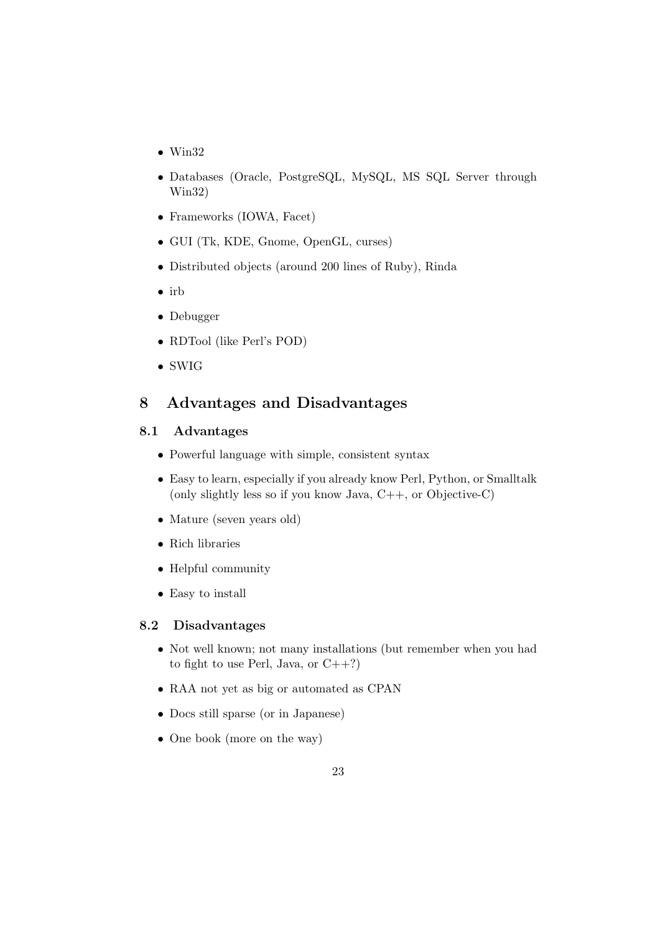- Win32
- Databases (Oracle, PostgreSQL, MySQL, MS SQL Server through Win32)
- Frameworks (IOWA, Facet)
- GUI (Tk, KDE, Gnome, OpenGL, curses)
- Distributed objects (around 200 lines of Ruby), Rinda
- irb
- Debugger
- RDTool (like Perl's POD)
- SWIG

## 8 Advantages and Disadvantages

#### 8.1 Advantages

- Powerful language with simple, consistent syntax
- Easy to learn, especially if you already know Perl, Python, or Smalltalk (only slightly less so if you know Java, C++, or Objective-C)
- Mature (seven years old)
- Rich libraries
- Helpful community
- Easy to install

#### 8.2 Disadvantages

- Not well known; not many installations (but remember when you had to fight to use Perl, Java, or  $C++?$ )
- RAA not yet as big or automated as CPAN
- Docs still sparse (or in Japanese)
- One book (more on the way)